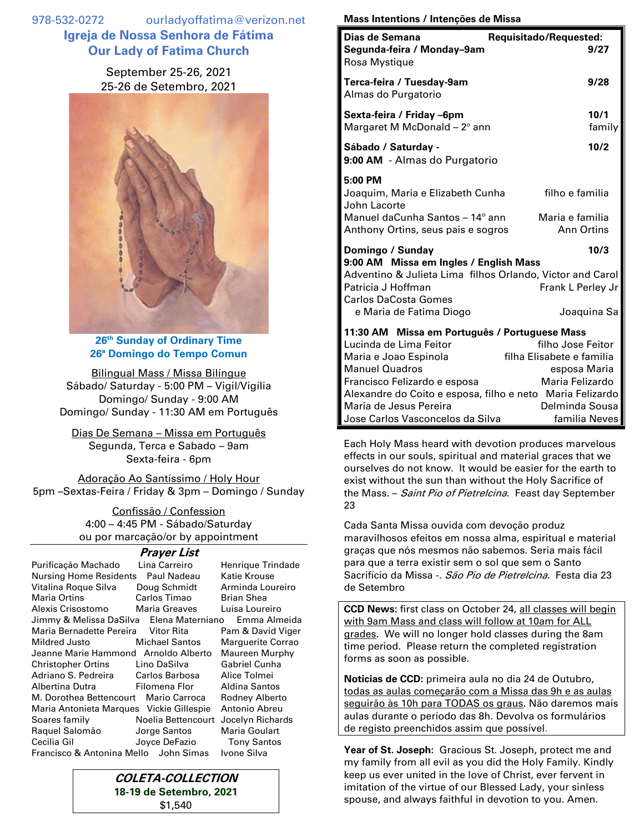978-532-0272 ourladyoffatima@verizon.net **Igreja de Nossa Senhora de Fátima Our Lady of Fatima Church**

> September 25-26, 2021 25-26 de Setembro, 2021



**26 th Sunday of Ordinary Time 26ª Domingo do Tempo Comun**

Bilingual Mass / Missa Bilíngue Sábado/ Saturday - 5:00 PM – Vigil/Vigília Domingo/ Sunday - 9:00 AM Domingo/ Sunday - 11:30 AM em Português

Dias De Semana – Missa em Português Segunda, Terca e Sabado – 9am Sexta-feira - 6pm

Adoração Ao Santíssimo / Holy Hour 5pm –Sextas-Feira / Friday & 3pm – Domingo / Sunday

> Confissão / Confession 4:00 – 4:45 PM - Sábado/Saturday ou por marcação/or by appointment

## **Prayer List**

| Purificação Machado                      | Lina Carreiro         | Henrique Trindade    |
|------------------------------------------|-----------------------|----------------------|
| <b>Nursing Home Residents</b>            | Paul Nadeau           | Katie Krouse         |
| Vitalina Roque Silva                     | Doug Schmidt          | Arminda Loureiro     |
| Maria Ortins                             | Carlos Timao          | <b>Brian Shea</b>    |
| Alexis Crisostomo                        | <b>Maria Greaves</b>  | Luisa Loureiro       |
| Jimmy & Melissa DaSilva Elena Materniano |                       | Emma Almeida         |
| Maria Bernadette Pereira Vitor Rita      |                       | Pam & David Viger    |
| Mildred Justo                            | <b>Michael Santos</b> | Marguerite Corrao    |
| Jeanne Marie Hammond Arnoldo Alberto     |                       | Maureen Murphy       |
| Christopher Ortins                       | Lino DaSilva          | <b>Gabriel Cunha</b> |
| Adriano S. Pedreira Carlos Barbosa       |                       | Alice Tolmei         |
| Albertina Dutra                          | Filomena Flor         | Aldina Santos        |
| M. Dorothea Bettencourt                  | Mario Carroca         | Rodney Alberto       |
| Maria Antonieta Marques Vickie Gillespie |                       | Antonio Abreu        |
| Soares family                            | Noelia Bettencourt    | Jocelyn Richards     |
| Raquel Salomão                           | Jorge Santos          | Maria Goulart        |
| Cecilia Gil                              | Joyce DeFazio         | <b>Tony Santos</b>   |
| Francisco & Antonina Mello John Simas    |                       | Ivone Silva          |



## **Mass Intentions / Intenções de Missa**

| Dias de Semana<br>Requisitado/Requested:                                                                                                                                            |                                                                |
|-------------------------------------------------------------------------------------------------------------------------------------------------------------------------------------|----------------------------------------------------------------|
| Segunda-feira / Monday-9am<br>Rosa Mystique                                                                                                                                         | 9/27                                                           |
| Terca-feira / Tuesday-9am<br>Almas do Purgatorio                                                                                                                                    | 9/28                                                           |
| Sexta-feira / Friday -6pm<br>Margaret M McDonald $-2^{\circ}$ ann                                                                                                                   | 10/1<br>family                                                 |
| Sábado / Saturday -<br>9:00 AM - Almas do Purgatorio                                                                                                                                | 10/2                                                           |
| 5:00 PM<br>Joaquim, Maria e Elizabeth Cunha<br>John Lacorte<br>Manuel daCunha Santos - 14° ann                                                                                      | filho e familia<br>Maria e familia                             |
| Anthony Ortins, seus pais e sogros                                                                                                                                                  | <b>Ann Ortins</b>                                              |
| Domingo / Sunday                                                                                                                                                                    | 10/3                                                           |
| 9:00 AM Missa em Ingles / English Mass<br>Adventino & Julieta Lima filhos Orlando, Victor and Carol<br>Patricia J Hoffman<br><b>Carlos DaCosta Gomes</b><br>e Maria de Fatima Diogo | Frank L Perley Jr<br>Joaquina Sa                               |
| 11:30 AM Missa em Português / Portuguese Mass<br>Lucinda de Lima Feitor<br>Maria e Joao Espinola<br><b>Manuel Quadros</b>                                                           | filho Jose Feitor<br>filha Elisabete e familia<br>esposa Maria |
| Francisco Felizardo e esposa<br>Alexandre do Coito e esposa, filho e neto Maria Felizardo<br>Maria de Jesus Pereira                                                                 | Maria Felizardo<br>Delminda Sousa                              |
| Jose Carlos Vasconcelos da Silva                                                                                                                                                    | familia Neves                                                  |

Each Holy Mass heard with devotion produces marvelous effects in our souls, spiritual and material graces that we ourselves do not know. It would be easier for the earth to exist without the sun than without the Holy Sacrifice of the Mass. - Saint Pio of Pietrelcina. Feast day September 23

Cada Santa Missa ouvida com devoção produz maravilhosos efeitos em nossa alma, espiritual e material graças que nós mesmos não sabemos. Seria mais fácil para que a terra existir sem o sol que sem o Santo Sacrifício da Missa -. *São Pio de Pietrelcina* Festa dia 23. de Setembro

**CCD News:** first class on October 24, all classes will begin with 9am Mass and class will follow at 10am for ALL grades. We will no longer hold classes during the 8am time period. Please return the completed registration forms as soon as possible.

**Noticias de CCD:** primeira aula no dia 24 de Outubro, todas as aulas começarão com a Missa das 9h e as aulas seguirão às 10h para TODAS os graus. Não daremos mais aulas durante o período das 8h. Devolva os formulários de registo preenchidos assim que possível.

**Year of St. Joseph:** Gracious St. Joseph, protect me and my family from all evil as you did the Holy Family. Kindly keep us ever united in the love of Christ, ever fervent in imitation of the virtue of our Blessed Lady, your sinless spouse, and always faithful in devotion to you. Amen.